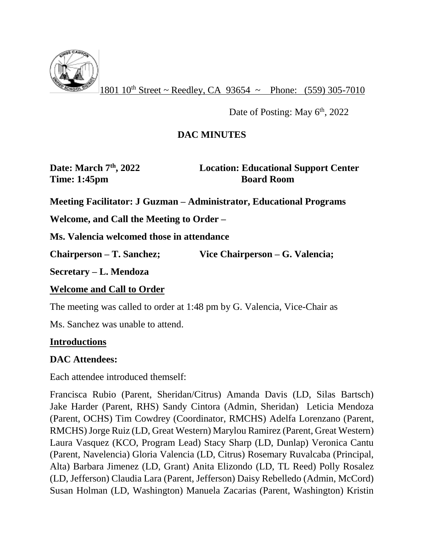

 $1801 10^{th}$  Street ~ Reedley, CA 93654 ~ Phone: (559) 305-7010

Date of Posting: May  $6<sup>th</sup>$ , 2022

## **DAC MINUTES**

**Date: March 7th, 2022 Location: Educational Support Center Time: 1:45pm Board Room** 

**Meeting Facilitator: J Guzman – Administrator, Educational Programs**

**Welcome, and Call the Meeting to Order –**

**Ms. Valencia welcomed those in attendance**

**Chairperson – T. Sanchez; Vice Chairperson – G. Valencia;** 

**Secretary – L. Mendoza**

### **Welcome and Call to Order**

The meeting was called to order at 1:48 pm by G. Valencia, Vice-Chair as

Ms. Sanchez was unable to attend.

#### **Introductions**

### **DAC Attendees:**

Each attendee introduced themself:

Francisca Rubio (Parent, Sheridan/Citrus) Amanda Davis (LD, Silas Bartsch) Jake Harder (Parent, RHS) Sandy Cintora (Admin, Sheridan) Leticia Mendoza (Parent, OCHS) Tim Cowdrey (Coordinator, RMCHS) Adelfa Lorenzano (Parent, RMCHS) Jorge Ruiz (LD, Great Western) Marylou Ramirez (Parent, Great Western) Laura Vasquez (KCO, Program Lead) Stacy Sharp (LD, Dunlap) Veronica Cantu (Parent, Navelencia) Gloria Valencia (LD, Citrus) Rosemary Ruvalcaba (Principal, Alta) Barbara Jimenez (LD, Grant) Anita Elizondo (LD, TL Reed) Polly Rosalez (LD, Jefferson) Claudia Lara (Parent, Jefferson) Daisy Rebelledo (Admin, McCord) Susan Holman (LD, Washington) Manuela Zacarias (Parent, Washington) Kristin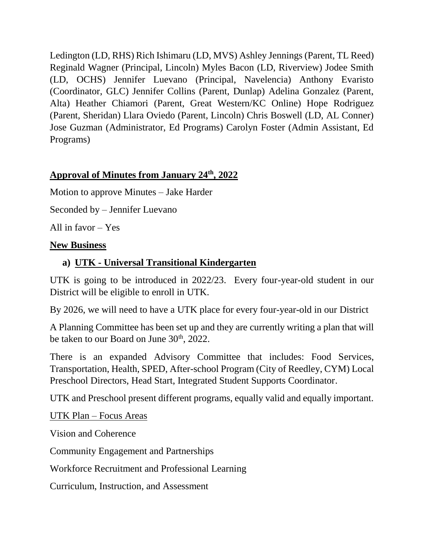Ledington (LD, RHS) Rich Ishimaru (LD, MVS) Ashley Jennings (Parent, TL Reed) Reginald Wagner (Principal, Lincoln) Myles Bacon (LD, Riverview) Jodee Smith (LD, OCHS) Jennifer Luevano (Principal, Navelencia) Anthony Evaristo (Coordinator, GLC) Jennifer Collins (Parent, Dunlap) Adelina Gonzalez (Parent, Alta) Heather Chiamori (Parent, Great Western/KC Online) Hope Rodriguez (Parent, Sheridan) Llara Oviedo (Parent, Lincoln) Chris Boswell (LD, AL Conner) Jose Guzman (Administrator, Ed Programs) Carolyn Foster (Admin Assistant, Ed Programs)

## **Approval of Minutes from January 24th, 2022**

Motion to approve Minutes – Jake Harder

Seconded by – Jennifer Luevano

All in favor – Yes

### **New Business**

## **a) UTK - Universal Transitional Kindergarten**

UTK is going to be introduced in 2022/23. Every four-year-old student in our District will be eligible to enroll in UTK.

By 2026, we will need to have a UTK place for every four-year-old in our District

A Planning Committee has been set up and they are currently writing a plan that will be taken to our Board on June  $30<sup>th</sup>$ , 2022.

There is an expanded Advisory Committee that includes: Food Services, Transportation, Health, SPED, After-school Program (City of Reedley, CYM) Local Preschool Directors, Head Start, Integrated Student Supports Coordinator.

UTK and Preschool present different programs, equally valid and equally important.

#### UTK Plan – Focus Areas

Vision and Coherence

Community Engagement and Partnerships

Workforce Recruitment and Professional Learning

Curriculum, Instruction, and Assessment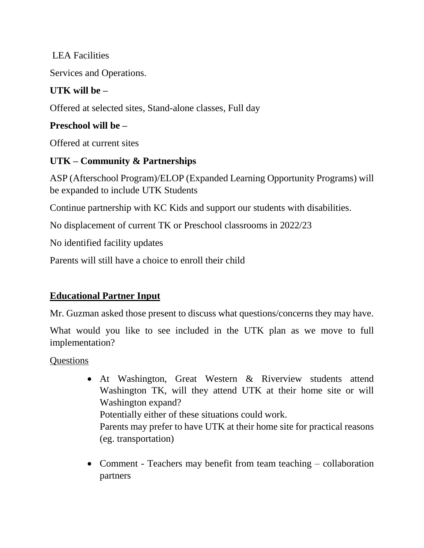LEA Facilities

Services and Operations.

## **UTK will be –**

Offered at selected sites, Stand-alone classes, Full day

## **Preschool will be –**

Offered at current sites

# **UTK – Community & Partnerships**

ASP (Afterschool Program)/ELOP (Expanded Learning Opportunity Programs) will be expanded to include UTK Students

Continue partnership with KC Kids and support our students with disabilities.

No displacement of current TK or Preschool classrooms in 2022/23

No identified facility updates

Parents will still have a choice to enroll their child

# **Educational Partner Input**

Mr. Guzman asked those present to discuss what questions/concerns they may have.

What would you like to see included in the UTK plan as we move to full implementation?

**Questions** 

 At Washington, Great Western & Riverview students attend Washington TK, will they attend UTK at their home site or will Washington expand? Potentially either of these situations could work.

Parents may prefer to have UTK at their home site for practical reasons (eg. transportation)

• Comment - Teachers may benefit from team teaching – collaboration partners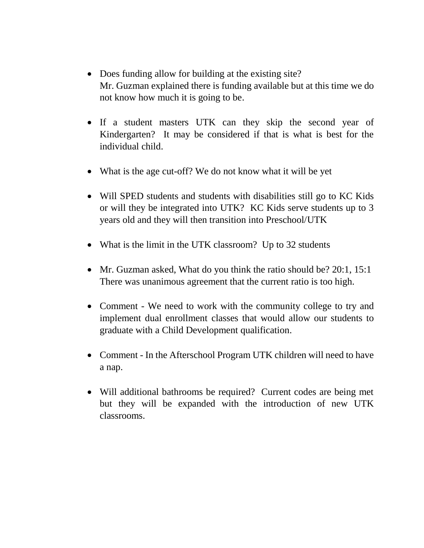- Does funding allow for building at the existing site? Mr. Guzman explained there is funding available but at this time we do not know how much it is going to be.
- If a student masters UTK can they skip the second year of Kindergarten? It may be considered if that is what is best for the individual child.
- What is the age cut-off? We do not know what it will be yet
- Will SPED students and students with disabilities still go to KC Kids or will they be integrated into UTK? KC Kids serve students up to 3 years old and they will then transition into Preschool/UTK
- What is the limit in the UTK classroom? Up to 32 students
- Mr. Guzman asked, What do you think the ratio should be? 20:1, 15:1 There was unanimous agreement that the current ratio is too high.
- Comment We need to work with the community college to try and implement dual enrollment classes that would allow our students to graduate with a Child Development qualification.
- Comment In the Afterschool Program UTK children will need to have a nap.
- Will additional bathrooms be required? Current codes are being met but they will be expanded with the introduction of new UTK classrooms.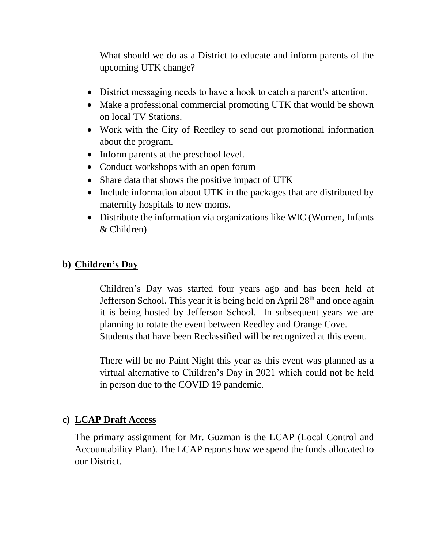What should we do as a District to educate and inform parents of the upcoming UTK change?

- District messaging needs to have a hook to catch a parent's attention.
- Make a professional commercial promoting UTK that would be shown on local TV Stations.
- Work with the City of Reedley to send out promotional information about the program.
- Inform parents at the preschool level.
- Conduct workshops with an open forum
- Share data that shows the positive impact of UTK
- Include information about UTK in the packages that are distributed by maternity hospitals to new moms.
- Distribute the information via organizations like WIC (Women, Infants & Children)

### **b) Children's Day**

Children's Day was started four years ago and has been held at Jefferson School. This year it is being held on April  $28<sup>th</sup>$  and once again it is being hosted by Jefferson School. In subsequent years we are planning to rotate the event between Reedley and Orange Cove. Students that have been Reclassified will be recognized at this event.

There will be no Paint Night this year as this event was planned as a virtual alternative to Children's Day in 2021 which could not be held in person due to the COVID 19 pandemic.

### **c) LCAP Draft Access**

The primary assignment for Mr. Guzman is the LCAP (Local Control and Accountability Plan). The LCAP reports how we spend the funds allocated to our District.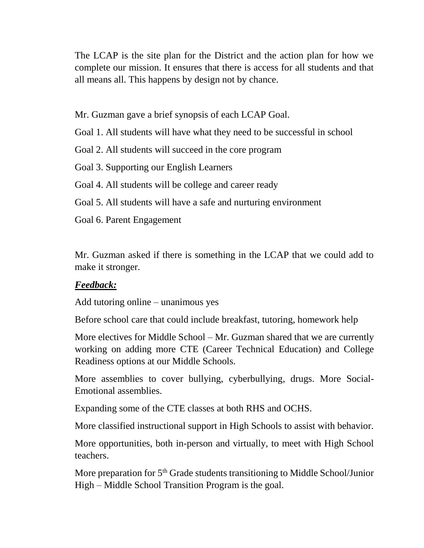The LCAP is the site plan for the District and the action plan for how we complete our mission. It ensures that there is access for all students and that all means all. This happens by design not by chance.

Mr. Guzman gave a brief synopsis of each LCAP Goal.

Goal 1. All students will have what they need to be successful in school

Goal 2. All students will succeed in the core program

Goal 3. Supporting our English Learners

Goal 4. All students will be college and career ready

Goal 5. All students will have a safe and nurturing environment

Goal 6. Parent Engagement

Mr. Guzman asked if there is something in the LCAP that we could add to make it stronger.

### *Feedback:*

Add tutoring online – unanimous yes

Before school care that could include breakfast, tutoring, homework help

More electives for Middle School – Mr. Guzman shared that we are currently working on adding more CTE (Career Technical Education) and College Readiness options at our Middle Schools.

More assemblies to cover bullying, cyberbullying, drugs. More Social-Emotional assemblies.

Expanding some of the CTE classes at both RHS and OCHS.

More classified instructional support in High Schools to assist with behavior.

More opportunities, both in-person and virtually, to meet with High School teachers.

More preparation for  $5<sup>th</sup>$  Grade students transitioning to Middle School/Junior High – Middle School Transition Program is the goal.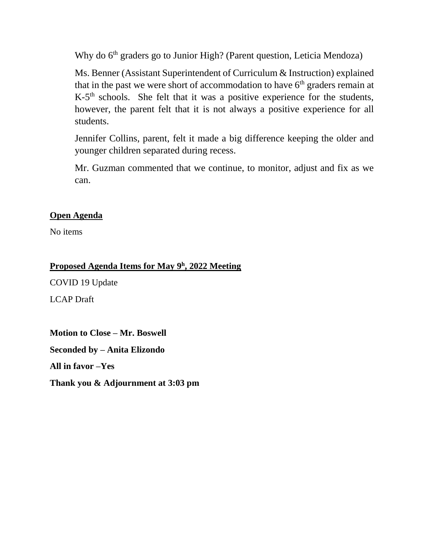Why do 6<sup>th</sup> graders go to Junior High? (Parent question, Leticia Mendoza)

Ms. Benner (Assistant Superintendent of Curriculum & Instruction) explained that in the past we were short of accommodation to have  $6<sup>th</sup>$  graders remain at K-5<sup>th</sup> schools. She felt that it was a positive experience for the students, however, the parent felt that it is not always a positive experience for all students.

Jennifer Collins, parent, felt it made a big difference keeping the older and younger children separated during recess.

Mr. Guzman commented that we continue, to monitor, adjust and fix as we can.

#### **Open Agenda**

No items

#### **Proposed Agenda Items for May 9<sup>h</sup> , 2022 Meeting**

COVID 19 Update

LCAP Draft

**Motion to Close – Mr. Boswell Seconded by – Anita Elizondo All in favor –Yes Thank you & Adjournment at 3:03 pm**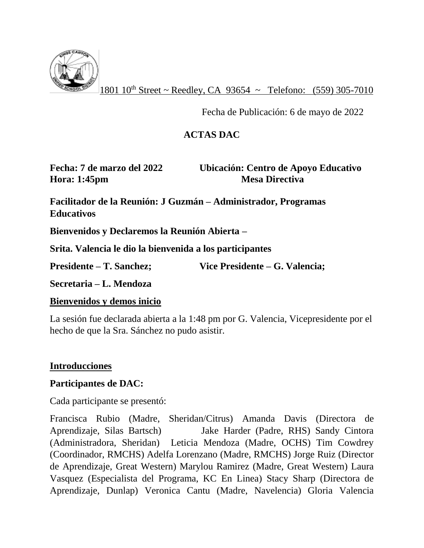

 $1801 10^{th}$  Street ~ Reedley, CA 93654 ~ Telefono: (559) 305-7010

Fecha de Publicación: 6 de mayo de 2022

## **ACTAS DAC**

**Hora: 1:45pm Mesa Directiva** 

**Fecha: 7 de marzo del 2022 Ubicación: Centro de Apoyo Educativo**

**Facilitador de la Reunión: J Guzmán – Administrador, Programas Educativos**

**Bienvenidos y Declaremos la Reunión Abierta –**

**Srita. Valencia le dio la bienvenida a los participantes**

**Presidente – T. Sanchez; Vice Presidente – G. Valencia;** 

**Secretaria – L. Mendoza**

#### **Bienvenidos y demos inicio**

La sesión fue declarada abierta a la 1:48 pm por G. Valencia, Vicepresidente por el hecho de que la Sra. Sánchez no pudo asistir.

### **Introducciones**

### **Participantes de DAC:**

Cada participante se presentó:

Francisca Rubio (Madre, Sheridan/Citrus) Amanda Davis (Directora de Aprendizaje, Silas Bartsch) Jake Harder (Padre, RHS) Sandy Cintora (Administradora, Sheridan) Leticia Mendoza (Madre, OCHS) Tim Cowdrey (Coordinador, RMCHS) Adelfa Lorenzano (Madre, RMCHS) Jorge Ruiz (Director de Aprendizaje, Great Western) Marylou Ramirez (Madre, Great Western) Laura Vasquez (Especialista del Programa, KC En Linea) Stacy Sharp (Directora de Aprendizaje, Dunlap) Veronica Cantu (Madre, Navelencia) Gloria Valencia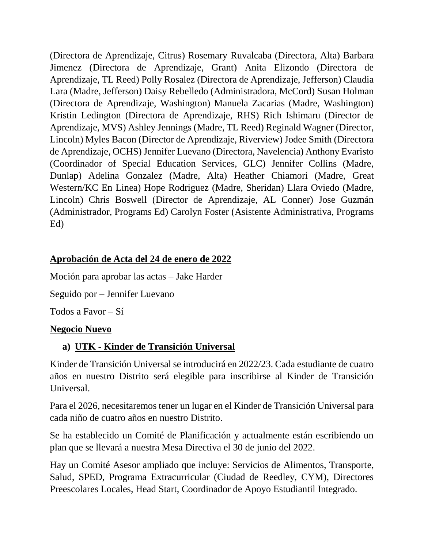(Directora de Aprendizaje, Citrus) Rosemary Ruvalcaba (Directora, Alta) Barbara Jimenez (Directora de Aprendizaje, Grant) Anita Elizondo (Directora de Aprendizaje, TL Reed) Polly Rosalez (Directora de Aprendizaje, Jefferson) Claudia Lara (Madre, Jefferson) Daisy Rebelledo (Administradora, McCord) Susan Holman (Directora de Aprendizaje, Washington) Manuela Zacarias (Madre, Washington) Kristin Ledington (Directora de Aprendizaje, RHS) Rich Ishimaru (Director de Aprendizaje, MVS) Ashley Jennings (Madre, TL Reed) Reginald Wagner (Director, Lincoln) Myles Bacon (Director de Aprendizaje, Riverview) Jodee Smith (Directora de Aprendizaje, OCHS) Jennifer Luevano (Directora, Navelencia) Anthony Evaristo (Coordinador of Special Education Services, GLC) Jennifer Collins (Madre, Dunlap) Adelina Gonzalez (Madre, Alta) Heather Chiamori (Madre, Great Western/KC En Linea) Hope Rodriguez (Madre, Sheridan) Llara Oviedo (Madre, Lincoln) Chris Boswell (Director de Aprendizaje, AL Conner) Jose Guzmán (Administrador, Programs Ed) Carolyn Foster (Asistente Administrativa, Programs Ed)

## **Aprobación de Acta del 24 de enero de 2022**

Moción para aprobar las actas – Jake Harder

Seguido por – Jennifer Luevano

Todos a Favor – Sí

#### **Negocio Nuevo**

### **a) UTK - Kinder de Transición Universal**

Kinder de Transición Universal se introducirá en 2022/23. Cada estudiante de cuatro años en nuestro Distrito será elegible para inscribirse al Kinder de Transición Universal.

Para el 2026, necesitaremos tener un lugar en el Kinder de Transición Universal para cada niño de cuatro años en nuestro Distrito.

Se ha establecido un Comité de Planificación y actualmente están escribiendo un plan que se llevará a nuestra Mesa Directiva el 30 de junio del 2022.

Hay un Comité Asesor ampliado que incluye: Servicios de Alimentos, Transporte, Salud, SPED, Programa Extracurricular (Ciudad de Reedley, CYM), Directores Preescolares Locales, Head Start, Coordinador de Apoyo Estudiantil Integrado.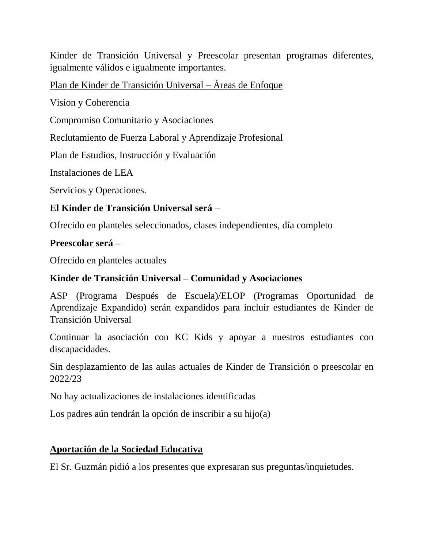Kinder de Transición Universal y Preescolar presentan programas diferentes, igualmente válidos e igualmente importantes.

Plan de Kinder de Transición Universal – Áreas de Enfoque

Vision y Coherencia

Compromiso Comunitario y Asociaciones

Reclutamiento de Fuerza Laboral y Aprendizaje Profesional

Plan de Estudios, Instrucción y Evaluación

Instalaciones de LEA

Servicios y Operaciones.

### **El Kinder de Transición Universal será –**

Ofrecido en planteles seleccionados, clases independientes, día completo

### **Preescolar será –**

Ofrecido en planteles actuales

### **Kinder de Transición Universal – Comunidad y Asociaciones**

ASP (Programa Después de Escuela)/ELOP (Programas Oportunidad de Aprendizaje Expandido) serán expandidos para incluir estudiantes de Kinder de Transición Universal

Continuar la asociación con KC Kids y apoyar a nuestros estudiantes con discapacidades.

Sin desplazamiento de las aulas actuales de Kinder de Transición o preescolar en 2022/23

No hay actualizaciones de instalaciones identificadas

Los padres aún tendrán la opción de inscribir a su hijo(a)

#### **Aportación de la Sociedad Educativa**

El Sr. Guzmán pidió a los presentes que expresaran sus preguntas/inquietudes.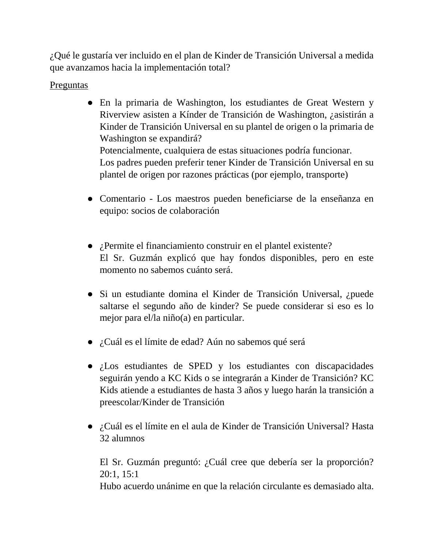¿Qué le gustaría ver incluido en el plan de Kinder de Transición Universal a medida que avanzamos hacia la implementación total?

### **Preguntas**

- En la primaria de Washington, los estudiantes de Great Western y Riverview asisten a Kínder de Transición de Washington, ¿asistirán a Kinder de Transición Universal en su plantel de origen o la primaria de Washington se expandirá? Potencialmente, cualquiera de estas situaciones podría funcionar. Los padres pueden preferir tener Kinder de Transición Universal en su plantel de origen por razones prácticas (por ejemplo, transporte)
- Comentario Los maestros pueden beneficiarse de la enseñanza en equipo: socios de colaboración
- ¿Permite el financiamiento construir en el plantel existente? El Sr. Guzmán explicó que hay fondos disponibles, pero en este momento no sabemos cuánto será.
- Si un estudiante domina el Kinder de Transición Universal, ¿puede saltarse el segundo año de kinder? Se puede considerar si eso es lo mejor para el/la niño(a) en particular.
- ¿Cuál es el límite de edad? Aún no sabemos qué será
- ¿Los estudiantes de SPED y los estudiantes con discapacidades seguirán yendo a KC Kids o se integrarán a Kinder de Transición? KC Kids atiende a estudiantes de hasta 3 años y luego harán la transición a preescolar/Kinder de Transición
- ¿Cuál es el límite en el aula de Kinder de Transición Universal? Hasta 32 alumnos

El Sr. Guzmán preguntó: ¿Cuál cree que debería ser la proporción? 20:1, 15:1 Hubo acuerdo unánime en que la relación circulante es demasiado alta.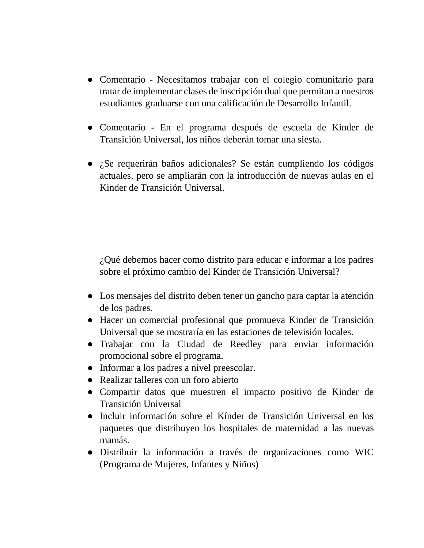- Comentario Necesitamos trabajar con el colegio comunitario para tratar de implementar clases de inscripción dual que permitan a nuestros estudiantes graduarse con una calificación de Desarrollo Infantil.
- Comentario En el programa después de escuela de Kinder de Transición Universal, los niños deberán tomar una siesta.
- ¿Se requerirán baños adicionales? Se están cumpliendo los códigos actuales, pero se ampliarán con la introducción de nuevas aulas en el Kinder de Transición Universal.

¿Qué debemos hacer como distrito para educar e informar a los padres sobre el próximo cambio del Kinder de Transición Universal?

- Los mensajes del distrito deben tener un gancho para captar la atención de los padres.
- Hacer un comercial profesional que promueva Kinder de Transición Universal que se mostraría en las estaciones de televisión locales.
- Trabajar con la Ciudad de Reedley para enviar información promocional sobre el programa.
- Informar a los padres a nivel preescolar.
- Realizar talleres con un foro abierto
- Compartir datos que muestren el impacto positivo de Kinder de Transición Universal
- Incluir información sobre el Kínder de Transición Universal en los paquetes que distribuyen los hospitales de maternidad a las nuevas mamás.
- Distribuir la información a través de organizaciones como WIC (Programa de Mujeres, Infantes y Niños)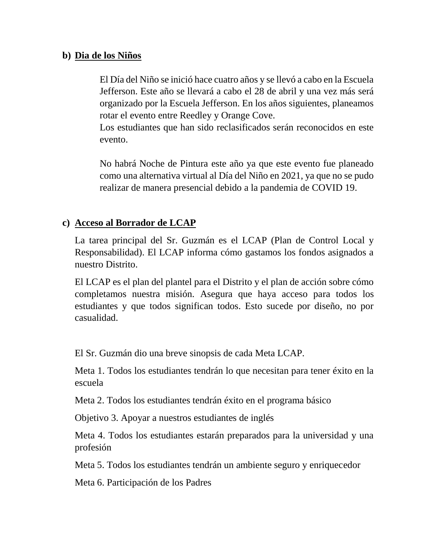#### **b) Dia de los Niños**

El Día del Niño se inició hace cuatro años y se llevó a cabo en la Escuela Jefferson. Este año se llevará a cabo el 28 de abril y una vez más será organizado por la Escuela Jefferson. En los años siguientes, planeamos rotar el evento entre Reedley y Orange Cove.

Los estudiantes que han sido reclasificados serán reconocidos en este evento.

No habrá Noche de Pintura este año ya que este evento fue planeado como una alternativa virtual al Día del Niño en 2021, ya que no se pudo realizar de manera presencial debido a la pandemia de COVID 19.

### **c) Acceso al Borrador de LCAP**

La tarea principal del Sr. Guzmán es el LCAP (Plan de Control Local y Responsabilidad). El LCAP informa cómo gastamos los fondos asignados a nuestro Distrito.

El LCAP es el plan del plantel para el Distrito y el plan de acción sobre cómo completamos nuestra misión. Asegura que haya acceso para todos los estudiantes y que todos significan todos. Esto sucede por diseño, no por casualidad.

El Sr. Guzmán dio una breve sinopsis de cada Meta LCAP.

Meta 1. Todos los estudiantes tendrán lo que necesitan para tener éxito en la escuela

Meta 2. Todos los estudiantes tendrán éxito en el programa básico

Objetivo 3. Apoyar a nuestros estudiantes de inglés

Meta 4. Todos los estudiantes estarán preparados para la universidad y una profesión

Meta 5. Todos los estudiantes tendrán un ambiente seguro y enriquecedor

Meta 6. Participación de los Padres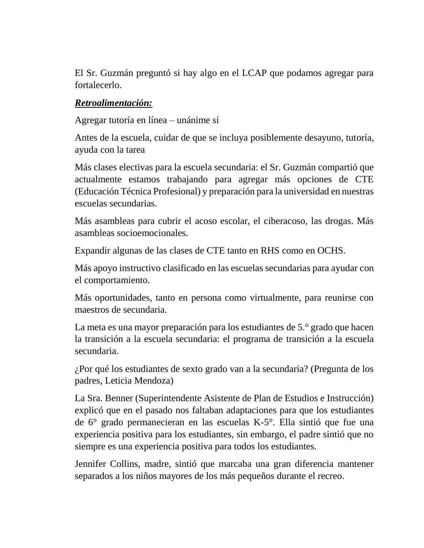El Sr. Guzmán preguntó si hay algo en el LCAP que podamos agregar para fortalecerlo.

#### *Retroalimentación:*

Agregar tutoría en línea – unánime sí

Antes de la escuela, cuidar de que se incluya posiblemente desayuno, tutoría, ayuda con la tarea

Más clases electivas para la escuela secundaria: el Sr. Guzmán compartió que actualmente estamos trabajando para agregar más opciones de CTE (Educación Técnica Profesional) y preparación para la universidad en nuestras escuelas secundarias.

Más asambleas para cubrir el acoso escolar, el ciberacoso, las drogas. Más asambleas socioemocionales.

Expandir algunas de las clases de CTE tanto en RHS como en OCHS.

Más apoyo instructivo clasificado en las escuelas secundarias para ayudar con el comportamiento.

Más oportunidades, tanto en persona como virtualmente, para reunirse con maestros de secundaria.

La meta es una mayor preparación para los estudiantes de 5.° grado que hacen la transición a la escuela secundaria: el programa de transición a la escuela secundaria.

¿Por qué los estudiantes de sexto grado van a la secundaria? (Pregunta de los padres, Leticia Mendoza)

La Sra. Benner (Superintendente Asistente de Plan de Estudios e Instrucción) explicó que en el pasado nos faltaban adaptaciones para que los estudiantes de 6° grado permanecieran en las escuelas K-5°. Ella sintió que fue una experiencia positiva para los estudiantes, sin embargo, el padre sintió que no siempre es una experiencia positiva para todos los estudiantes.

Jennifer Collins, madre, sintió que marcaba una gran diferencia mantener separados a los niños mayores de los más pequeños durante el recreo.